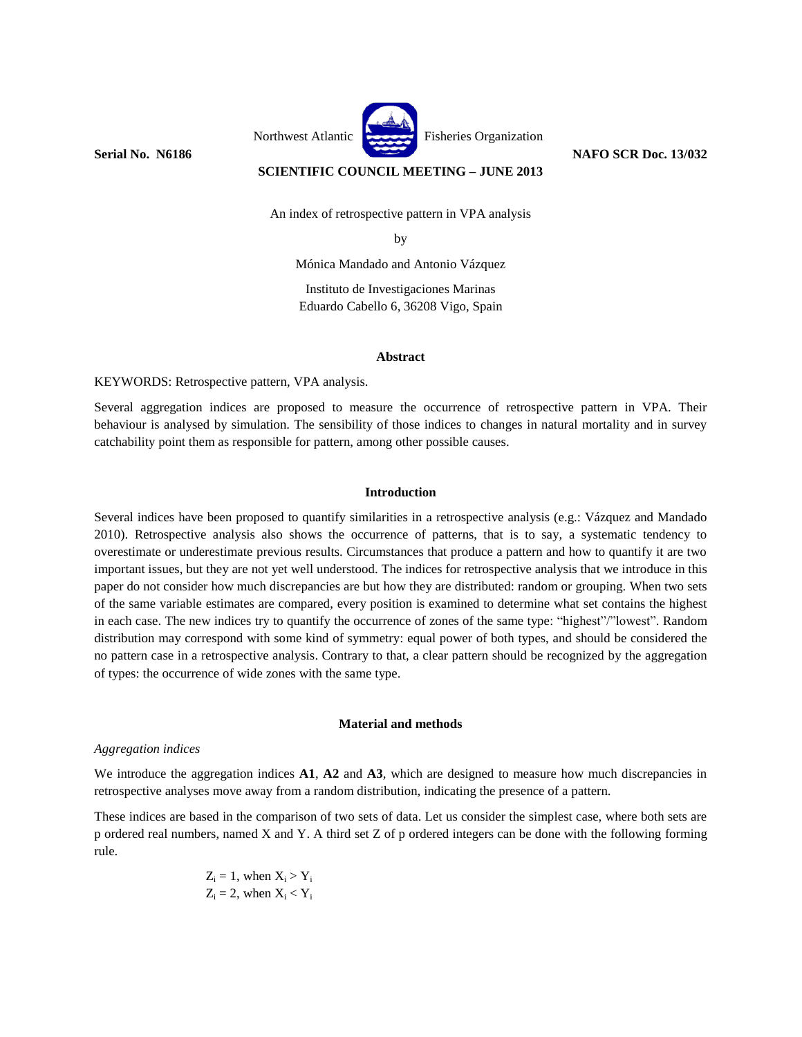

**SCIENTIFIC COUNCIL MEETING – JUNE 2013**

An index of retrospective pattern in VPA analysis

by

Mónica Mandado and Antonio Vázquez

Instituto de Investigaciones Marinas Eduardo Cabello 6, 36208 Vigo, Spain

# **Abstract**

KEYWORDS: Retrospective pattern, VPA analysis.

Several aggregation indices are proposed to measure the occurrence of retrospective pattern in VPA. Their behaviour is analysed by simulation. The sensibility of those indices to changes in natural mortality and in survey catchability point them as responsible for pattern, among other possible causes.

# **Introduction**

Several indices have been proposed to quantify similarities in a retrospective analysis (e.g.: Vázquez and Mandado 2010). Retrospective analysis also shows the occurrence of patterns, that is to say, a systematic tendency to overestimate or underestimate previous results. Circumstances that produce a pattern and how to quantify it are two important issues, but they are not yet well understood. The indices for retrospective analysis that we introduce in this paper do not consider how much discrepancies are but how they are distributed: random or grouping. When two sets of the same variable estimates are compared, every position is examined to determine what set contains the highest in each case. The new indices try to quantify the occurrence of zones of the same type: "highest"/"lowest". Random distribution may correspond with some kind of symmetry: equal power of both types, and should be considered the no pattern case in a retrospective analysis. Contrary to that, a clear pattern should be recognized by the aggregation of types: the occurrence of wide zones with the same type.

# **Material and methods**

# *Aggregation indices*

We introduce the aggregation indices **A1**, **A2** and **A3**, which are designed to measure how much discrepancies in retrospective analyses move away from a random distribution, indicating the presence of a pattern.

These indices are based in the comparison of two sets of data. Let us consider the simplest case, where both sets are p ordered real numbers, named X and Y. A third set Z of p ordered integers can be done with the following forming rule.

$$
Z_i = 1, \text{ when } X_i > Y_i
$$
  

$$
Z_i = 2, \text{ when } X_i < Y_i
$$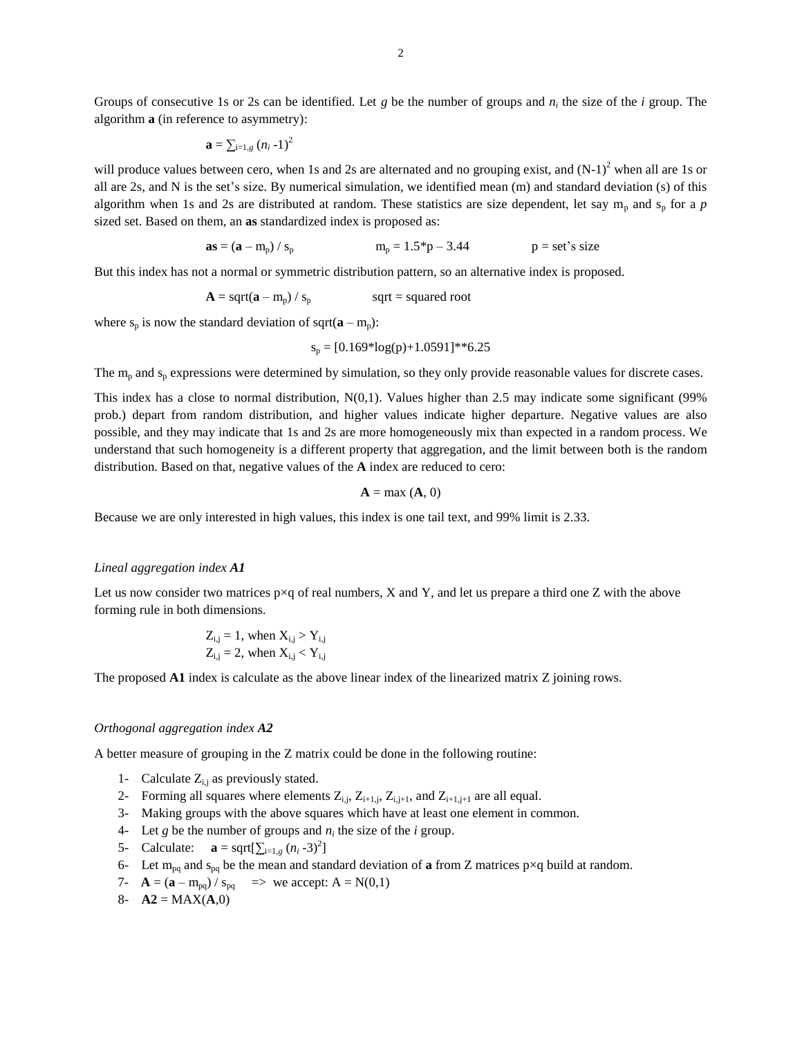$$
\mathbf{a} = \sum_{i=1,g} (n_i - 1)^2
$$

will produce values between cero, when 1s and 2s are alternated and no grouping exist, and  $(N-1)^2$  when all are 1s or all are 2s, and N is the set's size. By numerical simulation, we identified mean (m) and standard deviation (s) of this algorithm when 1s and 2s are distributed at random. These statistics are size dependent, let say  $m_p$  and  $s_p$  for a *p* sized set. Based on them, an **as** standardized index is proposed as:

**as** = 
$$
(a - m_p) / s_p
$$
   
**m**<sub>p</sub> = 1.5<sup>\*</sup>p - 3.44   
**p** = set's size

But this index has not a normal or symmetric distribution pattern, so an alternative index is proposed.

$$
A = sqrt(a - m_p) / s_p \qquad \qquad sqrt = squared root
$$

where  $s_p$  is now the standard deviation of sqrt( $\mathbf{a} - m_p$ ):

$$
s_p = [0.169 * log(p) + 1.0591] * 6.25
$$

The  $m_p$  and  $s_p$  expressions were determined by simulation, so they only provide reasonable values for discrete cases.

This index has a close to normal distribution, N(0,1). Values higher than 2.5 may indicate some significant (99% prob.) depart from random distribution, and higher values indicate higher departure. Negative values are also possible, and they may indicate that 1s and 2s are more homogeneously mix than expected in a random process. We understand that such homogeneity is a different property that aggregation, and the limit between both is the random distribution. Based on that, negative values of the **A** index are reduced to cero:

$$
\mathbf{A} = \max(\mathbf{A}, 0)
$$

Because we are only interested in high values, this index is one tail text, and 99% limit is 2.33.

#### *Lineal aggregation index A1*

Let us now consider two matrices  $p \times q$  of real numbers, X and Y, and let us prepare a third one Z with the above forming rule in both dimensions.

$$
Z_{i,j} = 1
$$
, when  $X_{i,j} > Y_{i,j}$   
 $Z_{i,j} = 2$ , when  $X_{i,j} < Y_{i,j}$ 

The proposed **A1** index is calculate as the above linear index of the linearized matrix Z joining rows.

## *Orthogonal aggregation index A2*

A better measure of grouping in the Z matrix could be done in the following routine:

- 1- Calculate  $Z_{i,j}$  as previously stated.
- 2- Forming all squares where elements  $Z_{i,j}$ ,  $Z_{i+1,j}$ ,  $Z_{i,j+1}$ , and  $Z_{i+1,j+1}$  are all equal.
- 3- Making groups with the above squares which have at least one element in common.
- 4- Let *g* be the number of groups and  $n_i$  the size of the *i* group.
- 5- Calculate: **a** = sqrt $[\sum_{i=1,g} (n_i 3)^2]$
- 6- Let m<sub>pq</sub> and s<sub>pq</sub> be the mean and standard deviation of **a** from Z matrices p×q build at random.
- 7-  $A = (a m_{pq}) / s_{pq}$  => we accept: A = N(0,1)
- 8-  $A2 = MAX(A,0)$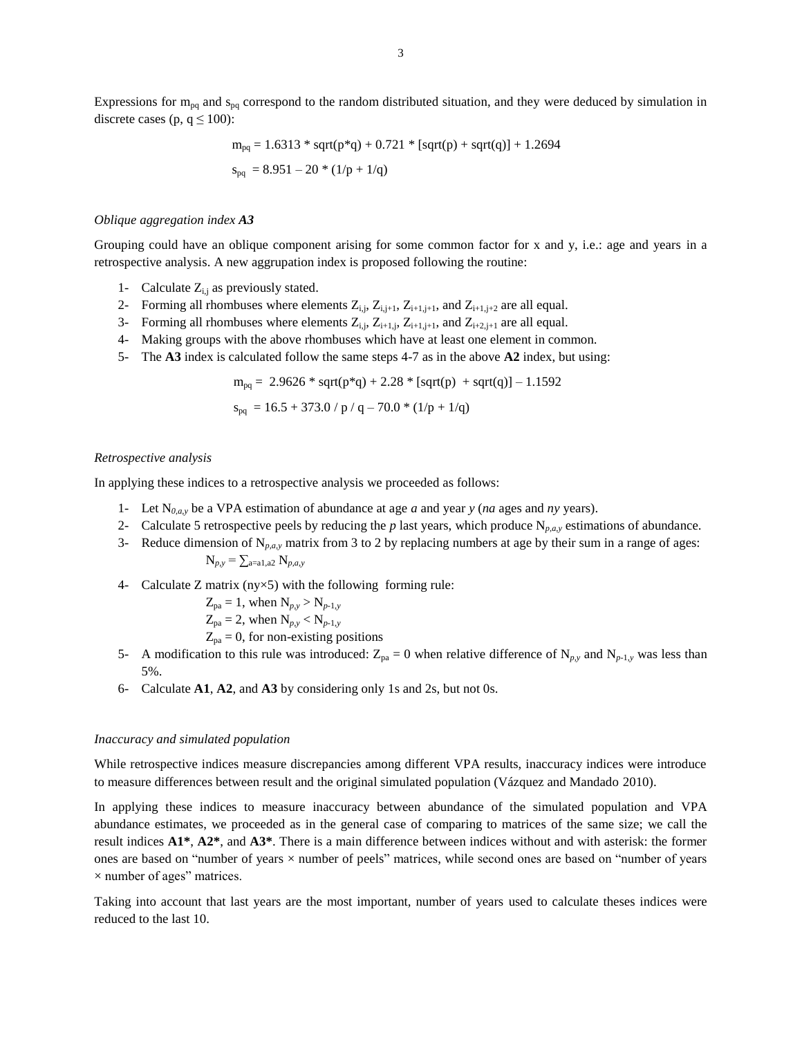Expressions for  $m_{pq}$  and  $s_{pq}$  correspond to the random distributed situation, and they were deduced by simulation in discrete cases (p,  $q \le 100$ ):

> $m_{pq} = 1.6313 * sqrt(p*q) + 0.721 * [sqrt(p) + sqrt(q)] + 1.2694$  $s_{pq} = 8.951 - 20 * (1/p + 1/q)$

#### *Oblique aggregation index A3*

Grouping could have an oblique component arising for some common factor for x and y, i.e.: age and years in a retrospective analysis. A new aggrupation index is proposed following the routine:

- 1- Calculate  $Z_{i,j}$  as previously stated.
- 2- Forming all rhombuses where elements  $Z_{i,j}$ ,  $Z_{i,j+1}$ ,  $Z_{i+1,j+1}$ , and  $Z_{i+1,j+2}$  are all equal.
- 3- Forming all rhombuses where elements  $Z_{i,j}$ ,  $Z_{i+1,j}$ ,  $Z_{i+1,j+1}$ , and  $Z_{i+2,j+1}$  are all equal.
- 4- Making groups with the above rhombuses which have at least one element in common.
- 5- The **A3** index is calculated follow the same steps 4-7 as in the above **A2** index, but using:

$$
m_{pq}=~2.9626*sqrt(p*q)+2.28*[sqrt(p)+sqrt(q)]-1.1592
$$

$$
s_{pq}\,=16.5+373.0\,/\,p\,/\,q-70.0\,\textrm{\text{*}}\,(1/p+1/q)
$$

#### *Retrospective analysis*

In applying these indices to a retrospective analysis we proceeded as follows:

- 1- Let N*0,a,y* be a VPA estimation of abundance at age *a* and year *y* (*na* ages and *ny* years).
- 2- Calculate 5 retrospective peels by reducing the *p* last years, which produce  $N_{p,q,y}$  estimations of abundance.
- 3- Reduce dimension of  $N_{p,q,y}$  matrix from 3 to 2 by replacing numbers at age by their sum in a range of ages:

$$
N_{p,y} = \sum_{a=a1, a2} N_{p,a,y}
$$

4- Calculate Z matrix ( $ny \times 5$ ) with the following forming rule:

$$
Z_{pa} = 1
$$
, when  $N_{p,y} > N_{p-1,y}$ 

$$
Z_{pa} = 2
$$
, when  $N_{p,y} < N_{p-1,y}$ 

- $Z_{pa} = 0$ , for non-existing positions
- 5- A modification to this rule was introduced:  $Z_{pa} = 0$  when relative difference of  $N_{p,y}$  and  $N_{p-1,y}$  was less than 5%.
- 6- Calculate **A1**, **A2**, and **A3** by considering only 1s and 2s, but not 0s.

#### *Inaccuracy and simulated population*

While retrospective indices measure discrepancies among different VPA results, inaccuracy indices were introduce to measure differences between result and the original simulated population (Vázquez and Mandado 2010).

In applying these indices to measure inaccuracy between abundance of the simulated population and VPA abundance estimates, we proceeded as in the general case of comparing to matrices of the same size; we call the result indices **A1\***, **A2\***, and **A3\***. There is a main difference between indices without and with asterisk: the former ones are based on "number of years × number of peels" matrices, while second ones are based on "number of years  $\times$  number of ages" matrices.

Taking into account that last years are the most important, number of years used to calculate theses indices were reduced to the last 10.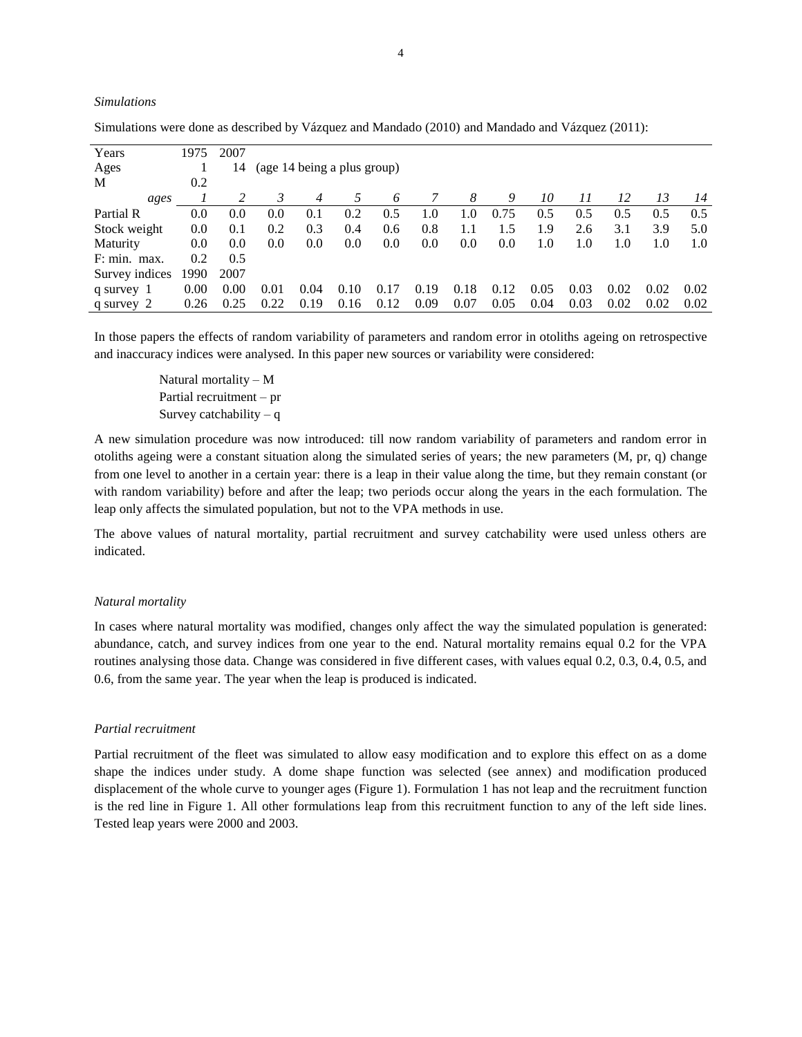| Years          | 1975 | 2007 |                             |      |      |      |      |      |      |      |      |      |      |      |
|----------------|------|------|-----------------------------|------|------|------|------|------|------|------|------|------|------|------|
| Ages           |      | 14   | (age 14 being a plus group) |      |      |      |      |      |      |      |      |      |      |      |
| M              | 0.2  |      |                             |      |      |      |      |      |      |      |      |      |      |      |
| ages           |      | 2    | 3                           | 4    | 5    | 6    |      | 8    | 9    | 10   | 11   | 12   | 13   | 14   |
| Partial R      | 0.0  | 0.0  | 0.0                         | 0.1  | 0.2  | 0.5  | 1.0  | 1.0  | 0.75 | 0.5  | 0.5  | 0.5  | 0.5  | 0.5  |
| Stock weight   | 0.0  | 0.1  | 0.2                         | 0.3  | 0.4  | 0.6  | 0.8  | 1.1  | 1.5  | 1.9  | 2.6  | 3.1  | 3.9  | 5.0  |
| Maturity       | 0.0  | 0.0  | 0.0                         | 0.0  | 0.0  | 0.0  | 0.0  | 0.0  | 0.0  | 1.0  | 1.0  | 1.0  | 1.0  | 1.0  |
| F: min. max.   | 0.2  | 0.5  |                             |      |      |      |      |      |      |      |      |      |      |      |
| Survey indices | 1990 | 2007 |                             |      |      |      |      |      |      |      |      |      |      |      |
| q survey 1     | 0.00 | 0.00 | 0.01                        | 0.04 | 0.10 | 0.17 | 0.19 | 0.18 | 0.12 | 0.05 | 0.03 | 0.02 | 0.02 | 0.02 |
| q survey 2     | 0.26 | 0.25 | 0.22                        | 0.19 | 0.16 | 0.12 | 0.09 | 0.07 | 0.05 | 0.04 | 0.03 | 0.02 | 0.02 | 0.02 |

Simulations were done as described by Vázquez and Mandado (2010) and Mandado and Vázquez (2011):

In those papers the effects of random variability of parameters and random error in otoliths ageing on retrospective and inaccuracy indices were analysed. In this paper new sources or variability were considered:

> Natural mortality – M Partial recruitment – pr Survey catchability  $- q$

A new simulation procedure was now introduced: till now random variability of parameters and random error in otoliths ageing were a constant situation along the simulated series of years; the new parameters (M, pr, q) change from one level to another in a certain year: there is a leap in their value along the time, but they remain constant (or with random variability) before and after the leap; two periods occur along the years in the each formulation. The leap only affects the simulated population, but not to the VPA methods in use.

The above values of natural mortality, partial recruitment and survey catchability were used unless others are indicated.

## *Natural mortality*

*Simulations*

In cases where natural mortality was modified, changes only affect the way the simulated population is generated: abundance, catch, and survey indices from one year to the end. Natural mortality remains equal 0.2 for the VPA routines analysing those data. Change was considered in five different cases, with values equal 0.2, 0.3, 0.4, 0.5, and 0.6, from the same year. The year when the leap is produced is indicated.

#### *Partial recruitment*

Partial recruitment of the fleet was simulated to allow easy modification and to explore this effect on as a dome shape the indices under study. A dome shape function was selected (see annex) and modification produced displacement of the whole curve to younger ages (Figure 1). Formulation 1 has not leap and the recruitment function is the red line in Figure 1. All other formulations leap from this recruitment function to any of the left side lines. Tested leap years were 2000 and 2003.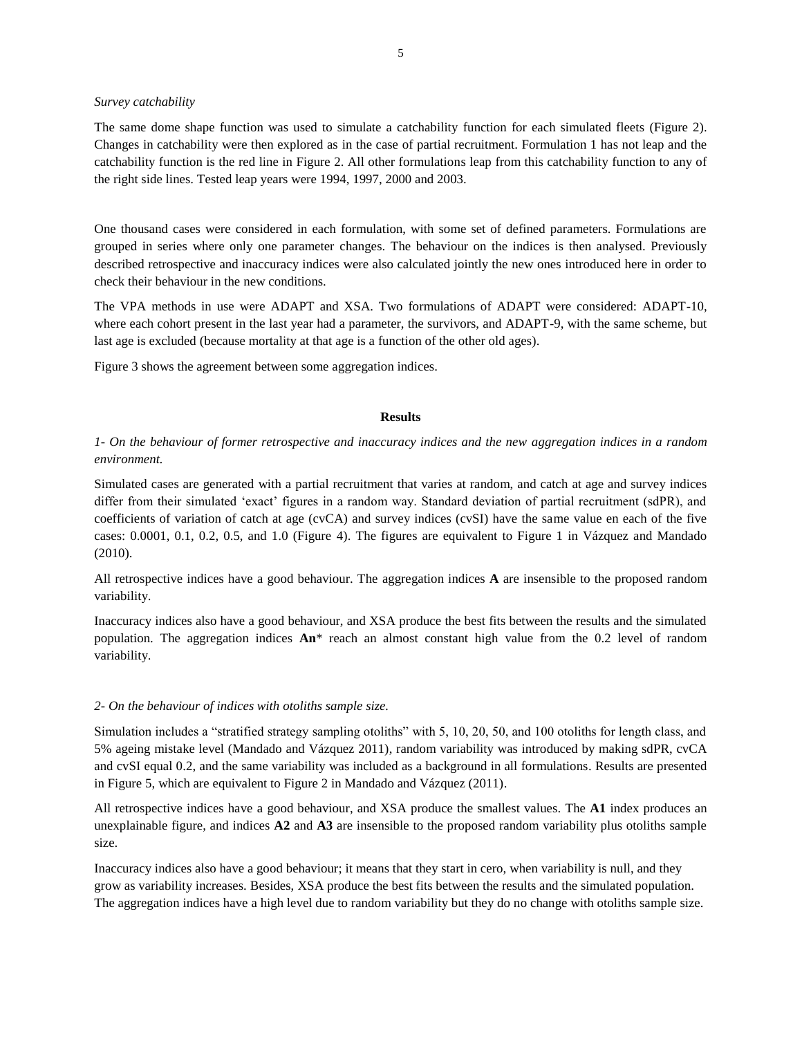## *Survey catchability*

The same dome shape function was used to simulate a catchability function for each simulated fleets (Figure 2). Changes in catchability were then explored as in the case of partial recruitment. Formulation 1 has not leap and the catchability function is the red line in Figure 2. All other formulations leap from this catchability function to any of the right side lines. Tested leap years were 1994, 1997, 2000 and 2003.

One thousand cases were considered in each formulation, with some set of defined parameters. Formulations are grouped in series where only one parameter changes. The behaviour on the indices is then analysed. Previously described retrospective and inaccuracy indices were also calculated jointly the new ones introduced here in order to check their behaviour in the new conditions.

The VPA methods in use were ADAPT and XSA. Two formulations of ADAPT were considered: ADAPT-10, where each cohort present in the last year had a parameter, the survivors, and ADAPT-9, with the same scheme, but last age is excluded (because mortality at that age is a function of the other old ages).

Figure 3 shows the agreement between some aggregation indices.

# **Results**

# *1- On the behaviour of former retrospective and inaccuracy indices and the new aggregation indices in a random environment.*

Simulated cases are generated with a partial recruitment that varies at random, and catch at age and survey indices differ from their simulated 'exact' figures in a random way. Standard deviation of partial recruitment (sdPR), and coefficients of variation of catch at age (cvCA) and survey indices (cvSI) have the same value en each of the five cases: 0.0001, 0.1, 0.2, 0.5, and 1.0 (Figure 4). The figures are equivalent to Figure 1 in Vázquez and Mandado (2010).

All retrospective indices have a good behaviour. The aggregation indices **A** are insensible to the proposed random variability.

Inaccuracy indices also have a good behaviour, and XSA produce the best fits between the results and the simulated population. The aggregation indices **An**\* reach an almost constant high value from the 0.2 level of random variability.

# *2- On the behaviour of indices with otoliths sample size.*

Simulation includes a "stratified strategy sampling otoliths" with 5, 10, 20, 50, and 100 otoliths for length class, and 5% ageing mistake level (Mandado and Vázquez 2011), random variability was introduced by making sdPR, cvCA and cvSI equal 0.2, and the same variability was included as a background in all formulations. Results are presented in Figure 5, which are equivalent to Figure 2 in Mandado and Vázquez (2011).

All retrospective indices have a good behaviour, and XSA produce the smallest values. The **A1** index produces an unexplainable figure, and indices **A2** and **A3** are insensible to the proposed random variability plus otoliths sample size.

Inaccuracy indices also have a good behaviour; it means that they start in cero, when variability is null, and they grow as variability increases. Besides, XSA produce the best fits between the results and the simulated population. The aggregation indices have a high level due to random variability but they do no change with otoliths sample size.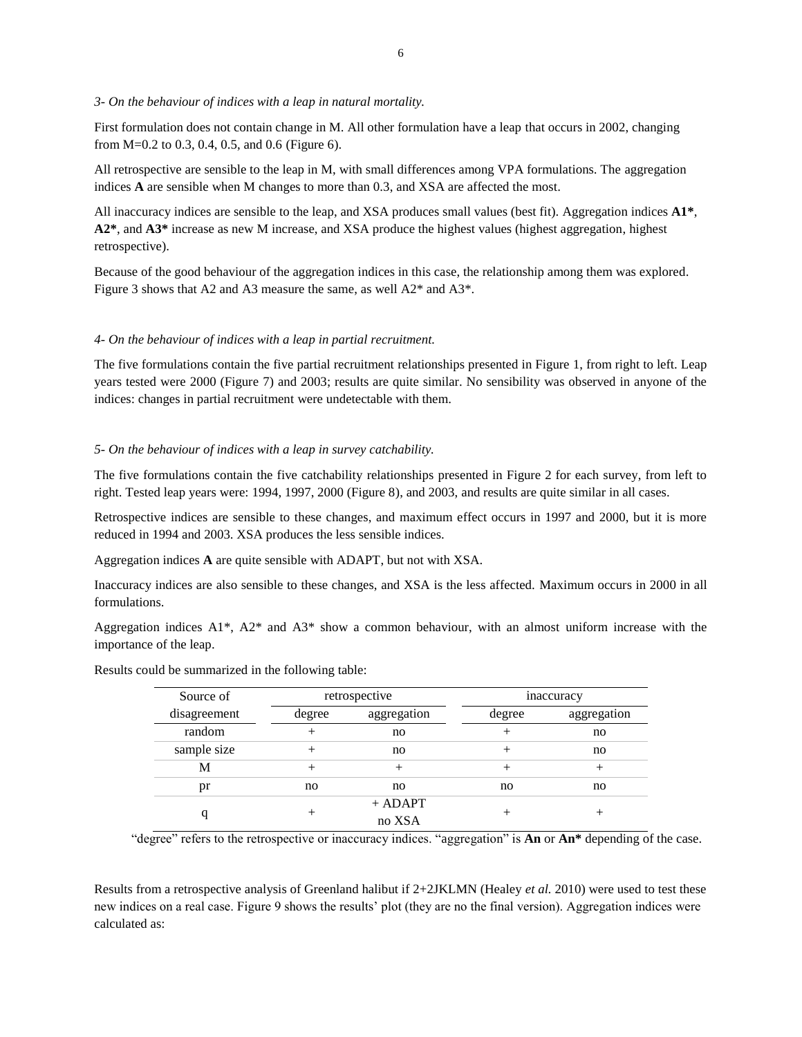# *3- On the behaviour of indices with a leap in natural mortality.*

First formulation does not contain change in M. All other formulation have a leap that occurs in 2002, changing from M=0.2 to 0.3, 0.4, 0.5, and 0.6 (Figure 6).

All retrospective are sensible to the leap in M, with small differences among VPA formulations. The aggregation indices **A** are sensible when M changes to more than 0.3, and XSA are affected the most.

All inaccuracy indices are sensible to the leap, and XSA produces small values (best fit). Aggregation indices **A1\***, **A2\***, and **A3\*** increase as new M increase, and XSA produce the highest values (highest aggregation, highest retrospective).

Because of the good behaviour of the aggregation indices in this case, the relationship among them was explored. Figure 3 shows that A2 and A3 measure the same, as well A2\* and A3\*.

# *4- On the behaviour of indices with a leap in partial recruitment.*

The five formulations contain the five partial recruitment relationships presented in Figure 1, from right to left. Leap years tested were 2000 (Figure 7) and 2003; results are quite similar. No sensibility was observed in anyone of the indices: changes in partial recruitment were undetectable with them.

# *5- On the behaviour of indices with a leap in survey catchability.*

The five formulations contain the five catchability relationships presented in Figure 2 for each survey, from left to right. Tested leap years were: 1994, 1997, 2000 (Figure 8), and 2003, and results are quite similar in all cases.

Retrospective indices are sensible to these changes, and maximum effect occurs in 1997 and 2000, but it is more reduced in 1994 and 2003. XSA produces the less sensible indices.

Aggregation indices **A** are quite sensible with ADAPT, but not with XSA.

Inaccuracy indices are also sensible to these changes, and XSA is the less affected. Maximum occurs in 2000 in all formulations.

Aggregation indices  $A1^*$ ,  $A2^*$  and  $A3^*$  show a common behaviour, with an almost uniform increase with the importance of the leap.

|  | Results could be summarized in the following table: |  |  |  |
|--|-----------------------------------------------------|--|--|--|
|--|-----------------------------------------------------|--|--|--|

| Source of    |        | retrospective | inaccuracy |             |  |
|--------------|--------|---------------|------------|-------------|--|
| disagreement | degree | aggregation   | degree     | aggregation |  |
| random       |        | no            |            | no          |  |
| sample size  |        | no            |            | no          |  |
| М            | ┿      |               |            |             |  |
| pr           | no     | no            | no         | no          |  |
|              |        | $+$ ADAPT     |            |             |  |
|              | ┭      | no XSA        |            |             |  |

"degree" refers to the retrospective or inaccuracy indices. "aggregation" is **An** or **An\*** depending of the case.

Results from a retrospective analysis of Greenland halibut if 2+2JKLMN (Healey *et al.* 2010) were used to test these new indices on a real case. Figure 9 shows the results' plot (they are no the final version). Aggregation indices were calculated as: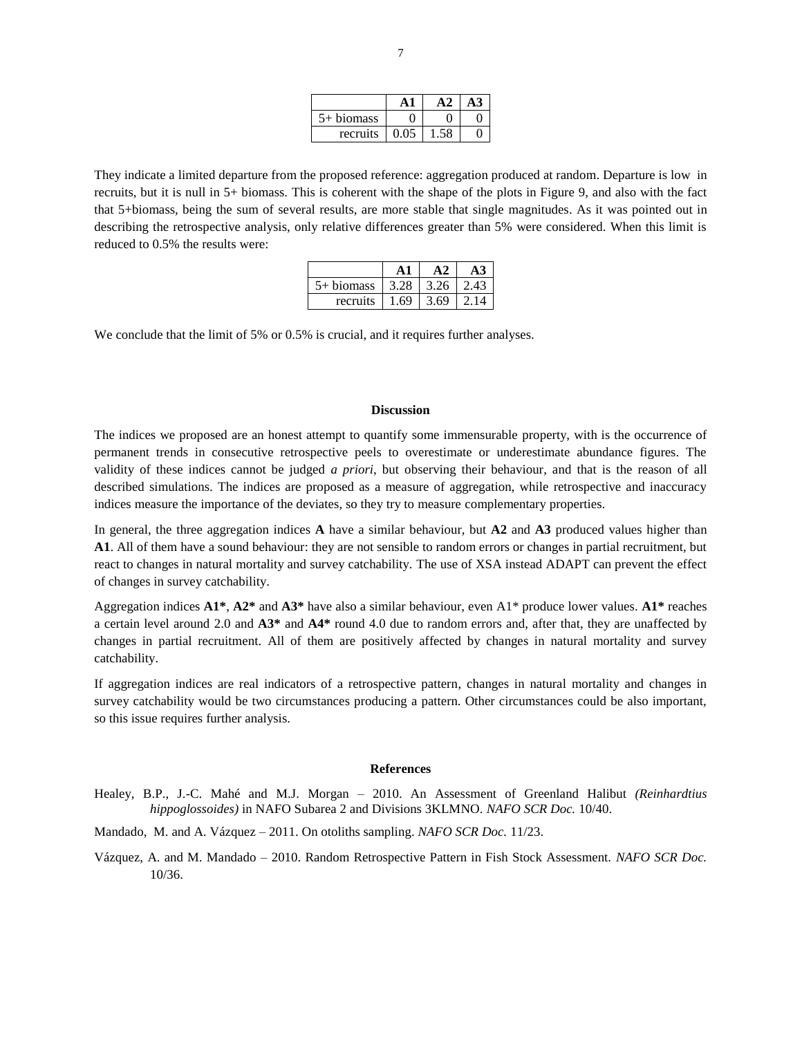| biomass<br>$\rightarrow +$ |  |  |
|----------------------------|--|--|
| recruits                   |  |  |

They indicate a limited departure from the proposed reference: aggregation produced at random. Departure is low in recruits, but it is null in 5+ biomass. This is coherent with the shape of the plots in Figure 9, and also with the fact that 5+biomass, being the sum of several results, are more stable that single magnitudes. As it was pointed out in describing the retrospective analysis, only relative differences greater than 5% were considered. When this limit is reduced to 0.5% the results were:

| $5+$ biomass |      | 3.26 | 2.43 |
|--------------|------|------|------|
| recruits     | 1.69 | 3.69 |      |

We conclude that the limit of 5% or 0.5% is crucial, and it requires further analyses.

### **Discussion**

The indices we proposed are an honest attempt to quantify some immensurable property, with is the occurrence of permanent trends in consecutive retrospective peels to overestimate or underestimate abundance figures. The validity of these indices cannot be judged *a priori*, but observing their behaviour, and that is the reason of all described simulations. The indices are proposed as a measure of aggregation, while retrospective and inaccuracy indices measure the importance of the deviates, so they try to measure complementary properties.

In general, the three aggregation indices **A** have a similar behaviour, but **A2** and **A3** produced values higher than **A1**. All of them have a sound behaviour: they are not sensible to random errors or changes in partial recruitment, but react to changes in natural mortality and survey catchability. The use of XSA instead ADAPT can prevent the effect of changes in survey catchability.

Aggregation indices **A1\***, **A2\*** and **A3\*** have also a similar behaviour, even A1\* produce lower values. **A1\*** reaches a certain level around 2.0 and **A3\*** and **A4\*** round 4.0 due to random errors and, after that, they are unaffected by changes in partial recruitment. All of them are positively affected by changes in natural mortality and survey catchability.

If aggregation indices are real indicators of a retrospective pattern, changes in natural mortality and changes in survey catchability would be two circumstances producing a pattern. Other circumstances could be also important, so this issue requires further analysis.

## **References**

Healey, B.P., J.-C. Mahé and M.J. Morgan – 2010. An Assessment of Greenland Halibut *(Reinhardtius hippoglossoides)* in NAFO Subarea 2 and Divisions 3KLMNO. *NAFO SCR Doc.* 10/40.

Mandado, M. and A. Vázquez – 2011. On otoliths sampling. *NAFO SCR Doc.* 11/23.

Vázquez, A. and M. Mandado – 2010. Random Retrospective Pattern in Fish Stock Assessment. *NAFO SCR Doc.* 10/36.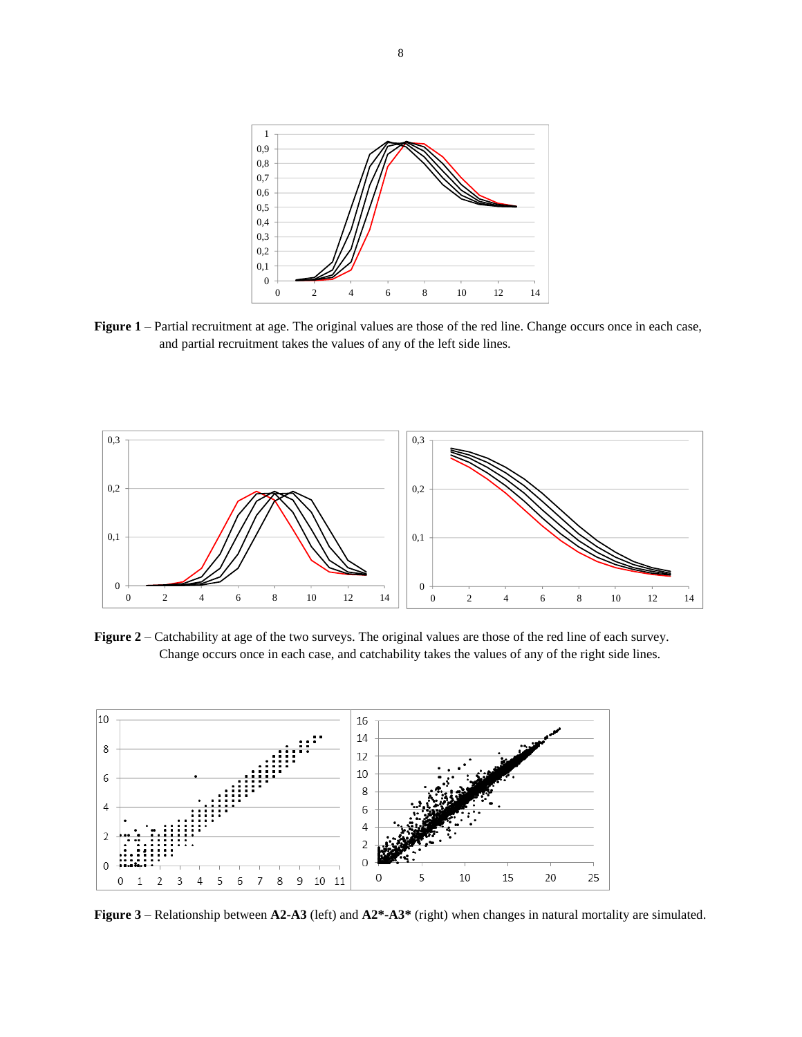

**Figure 1** – Partial recruitment at age. The original values are those of the red line. Change occurs once in each case, and partial recruitment takes the values of any of the left side lines.



**Figure 2** – Catchability at age of the two surveys. The original values are those of the red line of each survey. Change occurs once in each case, and catchability takes the values of any of the right side lines.



**Figure 3** – Relationship between **A2**-**A3** (left) and **A2\***-**A3\*** (right) when changes in natural mortality are simulated.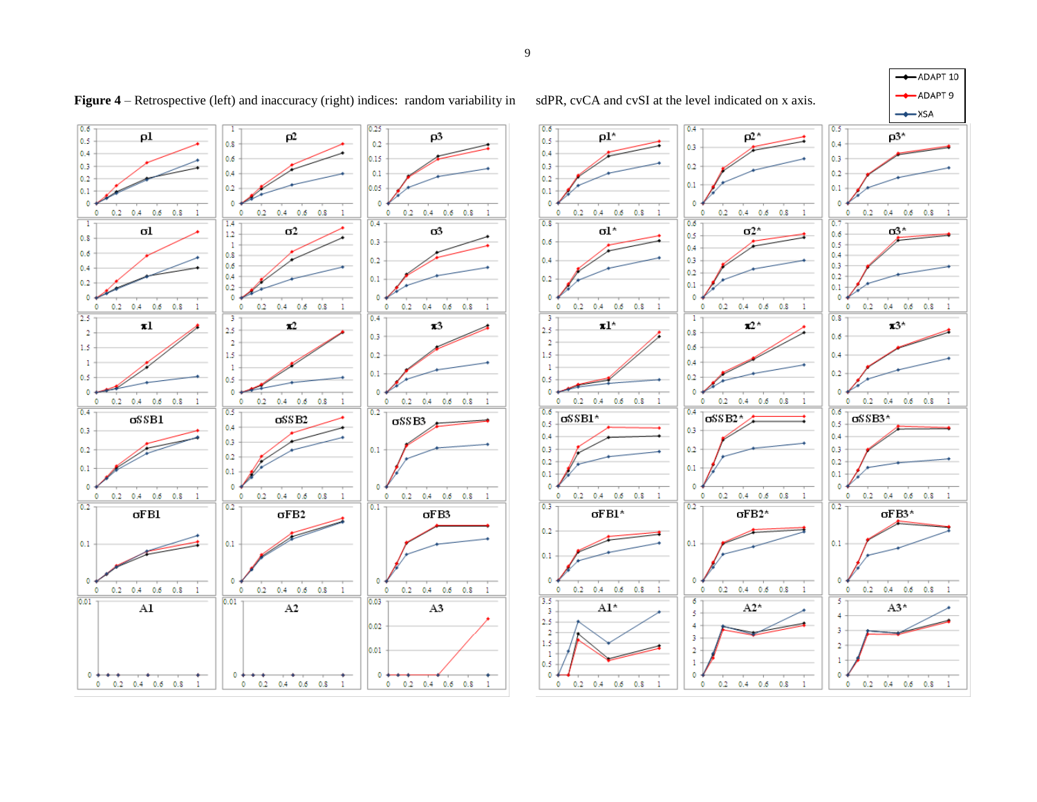



 $\bullet$ 

 $\mathbf{1}$ 

 $0.2-0.4-0.6-0.8$ 

**Figure 4** – Retrospective (left) and inaccuracy (right) indices: random variability in sdPR, cvCA and cvSI at the level indicated on x axis.



 $-xSA$  $p3^*$  $0.2$  0.4 0.6 0.8  $\sigma$ 3\*  $0.2$  0.4 0.6 0.8  $\mathbf{z}$ <sup>+</sup>  $0.2$   $0.4$   $0.6$   $0.8$  1  $\sigma$ SSB3\*  $0.2$   $0.4$   $0.6$   $0.8$  1  $\sigma$ FB3\*  $0.2$  0.4 0.6 0.8 1

 $A3*$ 

 $0.2$  0.4 0.6 0.8

 $\circ$ 

 $\mathbf{1}$ 

 $\mathbb O$ 

ADAPT 10 ADAPT 9



 $\circ$ 

 $\bullet$ 

 $0.2 - 0.4 - 0.6 - 0.8$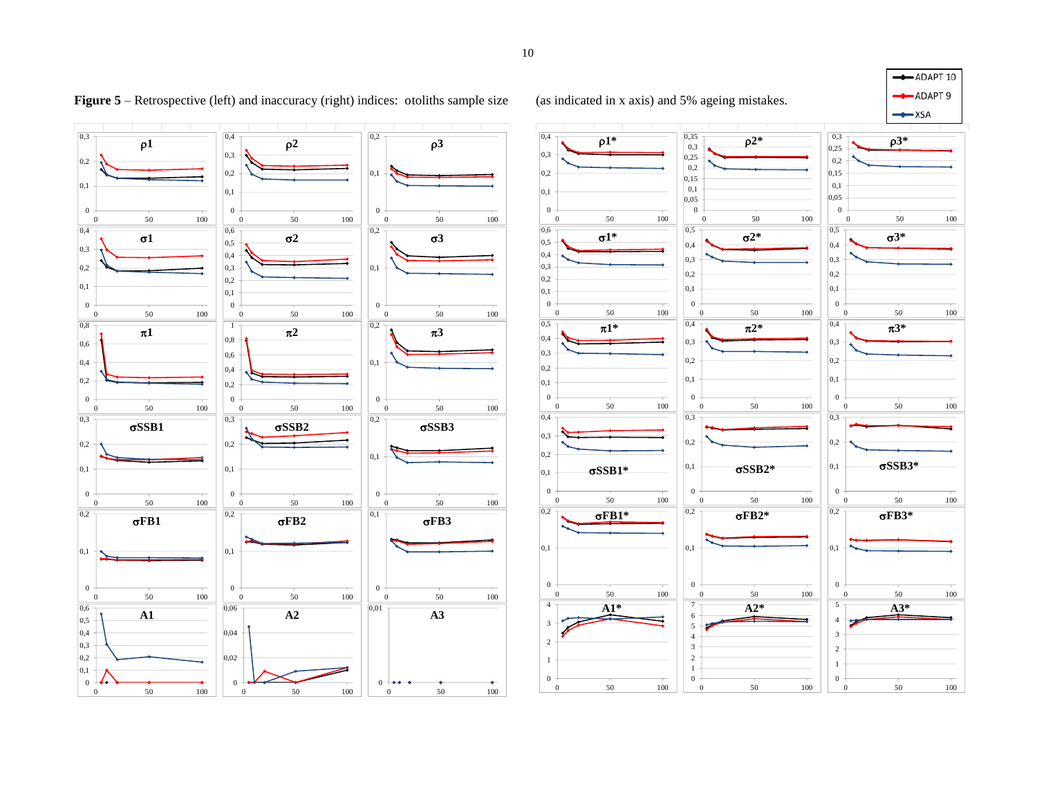



**Figure 5** – Retrospective (left) and inaccuracy (right) indices: otoliths sample size (as indicated in x axis) and 5% ageing mistakes.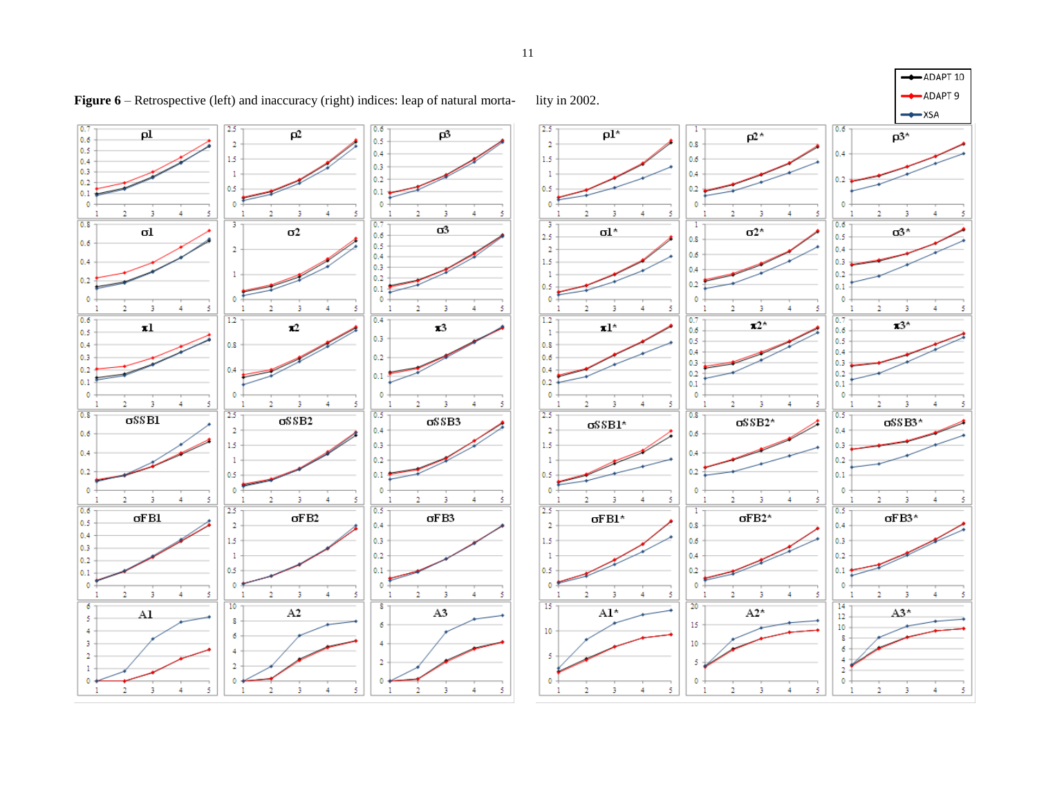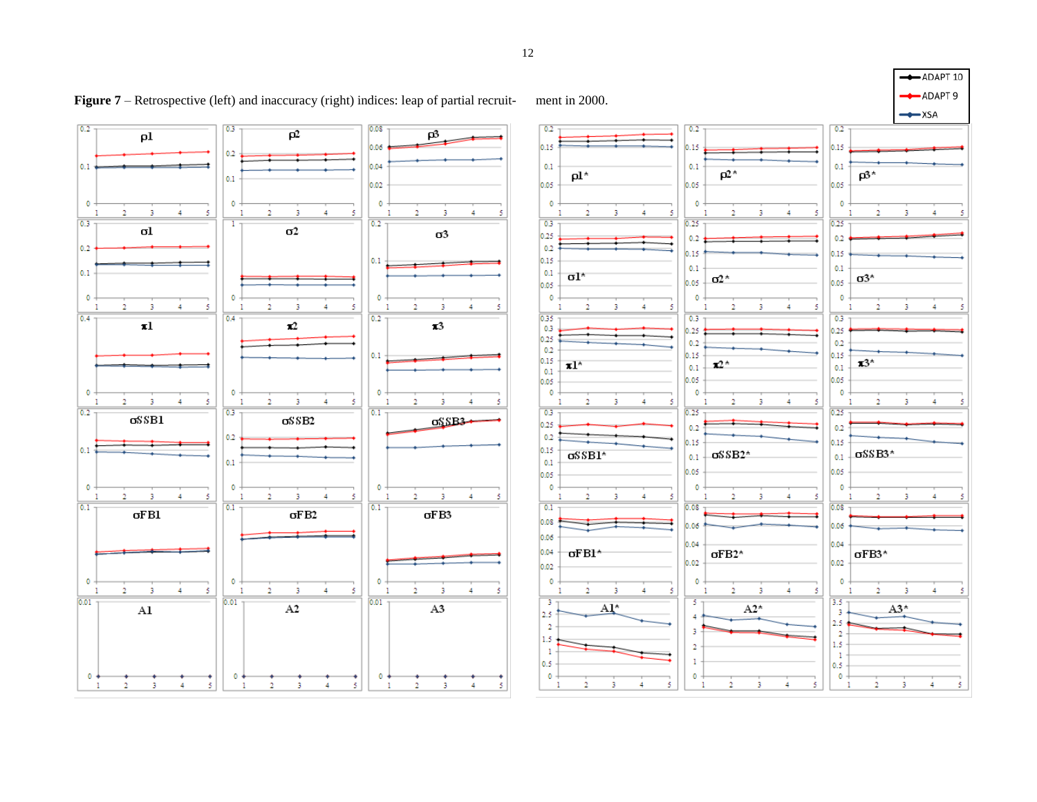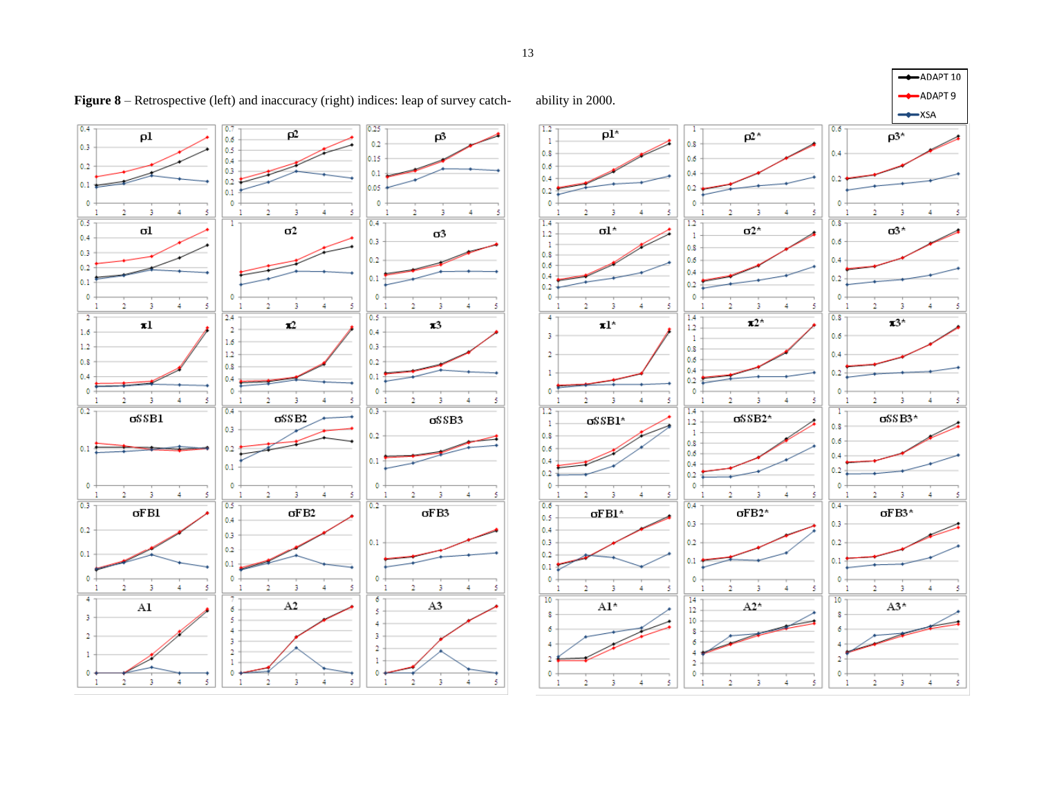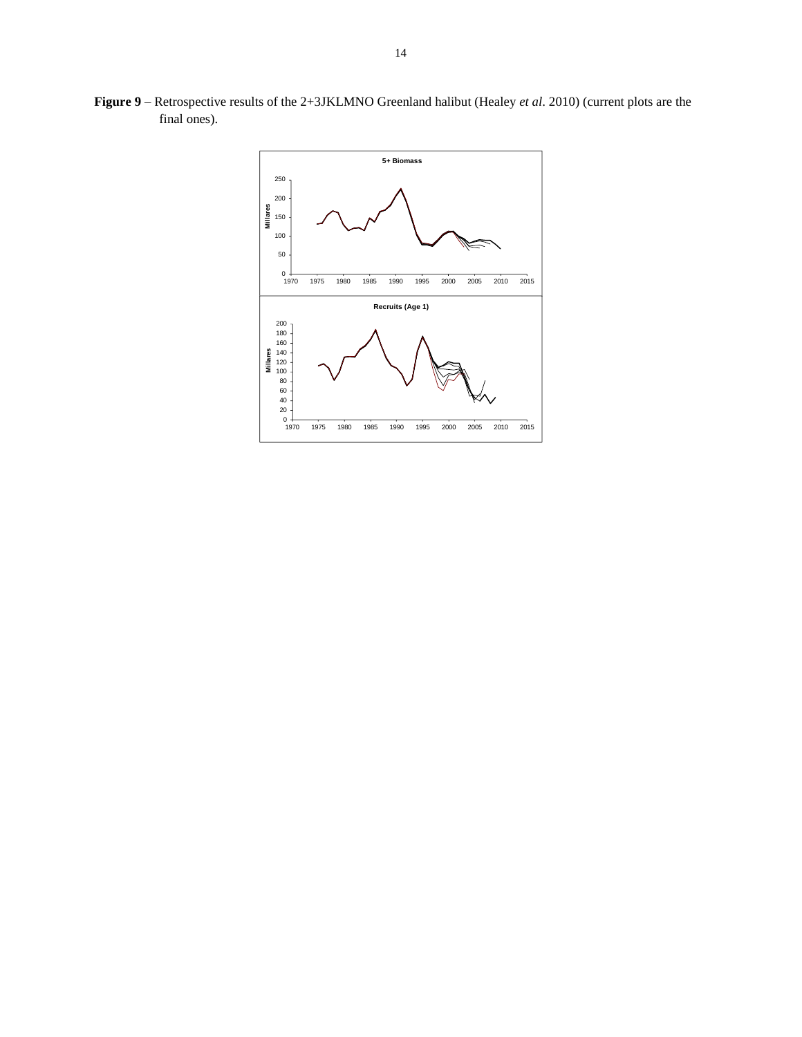

**Figure 9** – Retrospective results of the 2+3JKLMNO Greenland halibut (Healey *et al*. 2010) (current plots are the final ones).